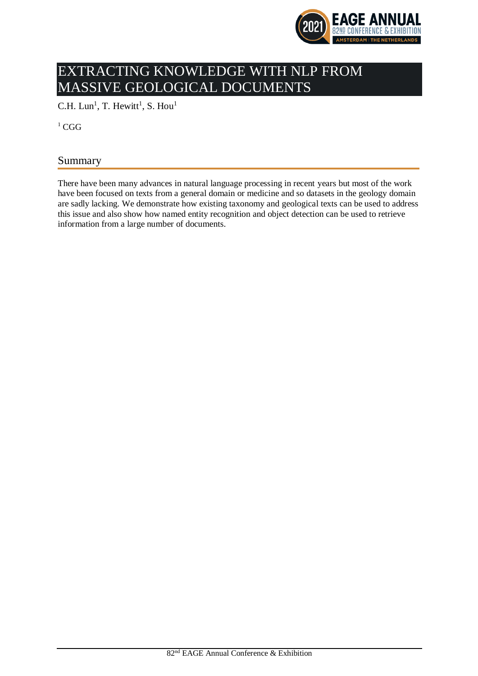

# EXTRACTING KNOWLEDGE WITH NLP FROM MASSIVE GEOLOGICAL DOCUMENTS

C.H. Lun<sup>1</sup>, T. Hewitt<sup>1</sup>, S. Hou<sup>1</sup>

 ${}^{1}$  CGG

# Summary

There have been many advances in natural language processing in recent years but most of the work have been focused on texts from a general domain or medicine and so datasets in the geology domain are sadly lacking. We demonstrate how existing taxonomy and geological texts can be used to address this issue and also show how named entity recognition and object detection can be used to retrieve information from a large number of documents.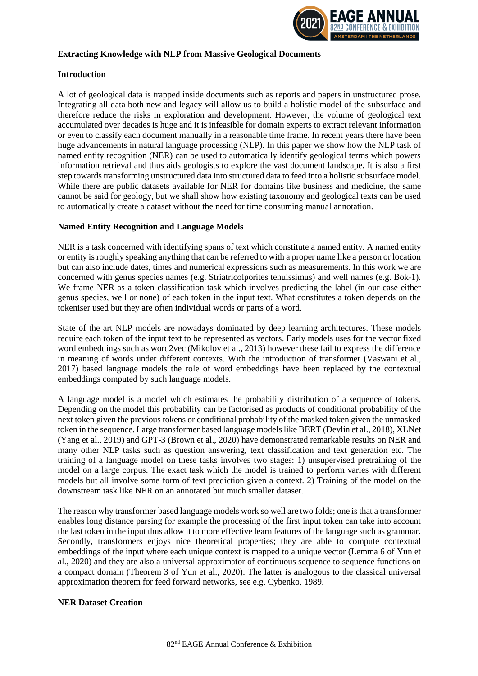

### **Extracting Knowledge with NLP from Massive Geological Documents**

### **Introduction**

A lot of geological data is trapped inside documents such as reports and papers in unstructured prose. Integrating all data both new and legacy will allow us to build a holistic model of the subsurface and therefore reduce the risks in exploration and development. However, the volume of geological text accumulated over decades is huge and it is infeasible for domain experts to extract relevant information or even to classify each document manually in a reasonable time frame. In recent years there have been huge advancements in natural language processing (NLP). In this paper we show how the NLP task of named entity recognition (NER) can be used to automatically identify geological terms which powers information retrieval and thus aids geologists to explore the vast document landscape. It is also a first step towards transforming unstructured data into structured data to feed into a holistic subsurface model. While there are public datasets available for NER for domains like business and medicine, the same cannot be said for geology, but we shall show how existing taxonomy and geological texts can be used to automatically create a dataset without the need for time consuming manual annotation.

#### **Named Entity Recognition and Language Models**

NER is a task concerned with identifying spans of text which constitute a named entity. A named entity or entity is roughly speaking anything that can be referred to with a proper name like a person or location but can also include dates, times and numerical expressions such as measurements. In this work we are concerned with genus species names (e.g. Striatricolporites tenuissimus) and well names (e.g. Bok-1). We frame NER as a token classification task which involves predicting the label (in our case either genus species, well or none) of each token in the input text. What constitutes a token depends on the tokeniser used but they are often individual words or parts of a word.

State of the art NLP models are nowadays dominated by deep learning architectures. These models require each token of the input text to be represented as vectors. Early models uses for the vector fixed word embeddings such as word2vec (Mikolov et al., 2013) however these fail to express the difference in meaning of words under different contexts. With the introduction of transformer (Vaswani et al., 2017) based language models the role of word embeddings have been replaced by the contextual embeddings computed by such language models.

A language model is a model which estimates the probability distribution of a sequence of tokens. Depending on the model this probability can be factorised as products of conditional probability of the next token given the previous tokens or conditional probability of the masked token given the unmasked token in the sequence. Large transformer based language models like BERT (Devlin et al., 2018), XLNet (Yang et al., 2019) and GPT-3 (Brown et al., 2020) have demonstrated remarkable results on NER and many other NLP tasks such as question answering, text classification and text generation etc. The training of a language model on these tasks involves two stages: 1) unsupervised pretraining of the model on a large corpus. The exact task which the model is trained to perform varies with different models but all involve some form of text prediction given a context. 2) Training of the model on the downstream task like NER on an annotated but much smaller dataset.

The reason why transformer based language models work so well are two folds; one is that a transformer enables long distance parsing for example the processing of the first input token can take into account the last token in the input thus allow it to more effective learn features of the language such as grammar. Secondly, transformers enjoys nice theoretical properties; they are able to compute contextual embeddings of the input where each unique context is mapped to a unique vector (Lemma 6 of Yun et al., 2020) and they are also a universal approximator of continuous sequence to sequence functions on a compact domain (Theorem 3 of Yun et al., 2020). The latter is analogous to the classical universal approximation theorem for feed forward networks, see e.g. Cybenko, 1989.

#### **NER Dataset Creation**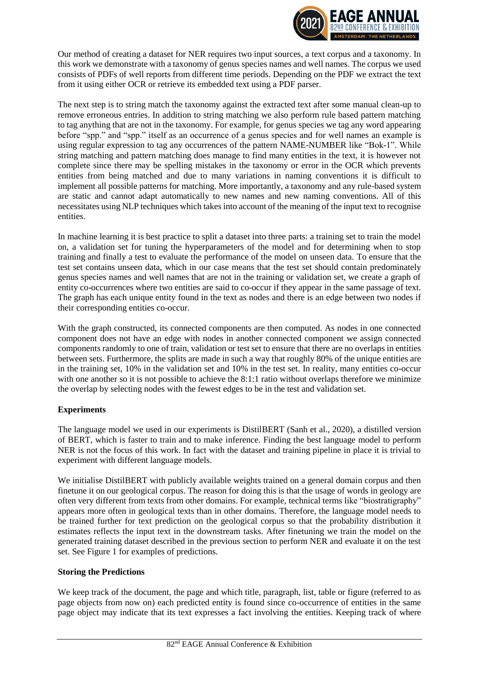

Our method of creating a dataset for NER requires two input sources, a text corpus and a taxonomy. In this work we demonstrate with a taxonomy of genus species names and well names. The corpus we used consists of PDFs of well reports from different time periods. Depending on the PDF we extract the text from it using either OCR or retrieve its embedded text using a PDF parser.

The next step is to string match the taxonomy against the extracted text after some manual clean-up to remove erroneous entries. In addition to string matching we also perform rule based pattern matching to tag anything that are not in the taxonomy. For example, for genus species we tag any word appearing before "spp." and "spp." itself as an occurrence of a genus species and for well names an example is using regular expression to tag any occurrences of the pattern NAME-NUMBER like "Bok-1". While string matching and pattern matching does manage to find many entities in the text, it is however not complete since there may be spelling mistakes in the taxonomy or error in the OCR which prevents entities from being matched and due to many variations in naming conventions it is difficult to implement all possible patterns for matching. More importantly, a taxonomy and any rule-based system are static and cannot adapt automatically to new names and new naming conventions. All of this necessitates using NLP techniques which takes into account of the meaning of the input text to recognise entities.

In machine learning it is best practice to split a dataset into three parts: a training set to train the model on, a validation set for tuning the hyperparameters of the model and for determining when to stop training and finally a test to evaluate the performance of the model on unseen data. To ensure that the test set contains unseen data, which in our case means that the test set should contain predominately genus species names and well names that are not in the training or validation set, we create a graph of entity co-occurrences where two entities are said to co-occur if they appear in the same passage of text. The graph has each unique entity found in the text as nodes and there is an edge between two nodes if their corresponding entities co-occur.

With the graph constructed, its connected components are then computed. As nodes in one connected component does not have an edge with nodes in another connected component we assign connected components randomly to one of train, validation or test set to ensure that there are no overlaps in entities between sets. Furthermore, the splits are made in such a way that roughly 80% of the unique entities are in the training set, 10% in the validation set and 10% in the test set. In reality, many entities co-occur with one another so it is not possible to achieve the 8:1:1 ratio without overlaps therefore we minimize the overlap by selecting nodes with the fewest edges to be in the test and validation set.

# **Experiments**

The language model we used in our experiments is DistilBERT (Sanh et al., 2020), a distilled version of BERT, which is faster to train and to make inference. Finding the best language model to perform NER is not the focus of this work. In fact with the dataset and training pipeline in place it is trivial to experiment with different language models.

We initialise DistilBERT with publicly available weights trained on a general domain corpus and then finetune it on our geological corpus. The reason for doing this is that the usage of words in geology are often very different from texts from other domains. For example, technical terms like "biostratigraphy" appears more often in geological texts than in other domains. Therefore, the language model needs to be trained further for text prediction on the geological corpus so that the probability distribution it estimates reflects the input text in the downstream tasks. After finetuning we train the model on the generated training dataset described in the previous section to perform NER and evaluate it on the test set. See Figure 1 for examples of predictions.

# **Storing the Predictions**

We keep track of the document, the page and which title, paragraph, list, table or figure (referred to as page objects from now on) each predicted entity is found since co-occurrence of entities in the same page object may indicate that its text expresses a fact involving the entities. Keeping track of where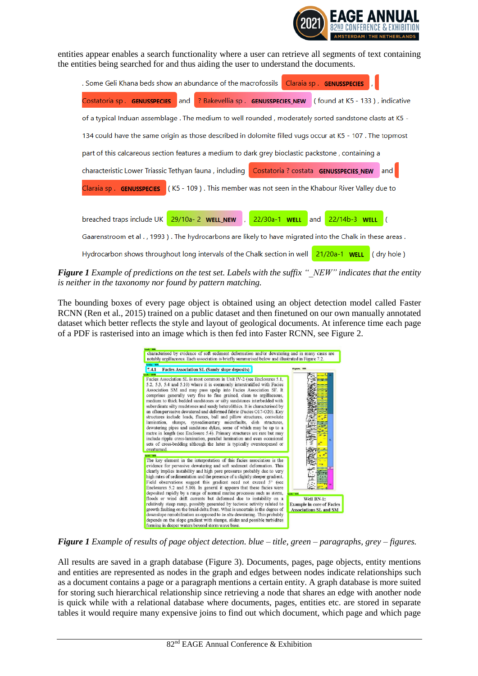

entities appear enables a search functionality where a user can retrieve all segments of text containing the entities being searched for and thus aiding the user to understand the documents.

| . Some Geli Khana beds show an abundance of the macrofossils<br>Claraia sp. <b>GENUSSPECIES</b>            |
|------------------------------------------------------------------------------------------------------------|
| Costatoria sp. GENUSSPECIES<br>and<br>? Bakevellia sp. GENUSSPECIES NEW (found at K5 - 133), indicative    |
| of a typical Induan assemblage. The medium to well rounded, moderately sorted sandstone clasts at K5 -     |
| 134 could have the same origin as those described in dolomite filled vugs occur at K5 - 107. The topmost   |
| part of this calcareous section features a medium to dark grey bioclastic packstone, containing a          |
| characteristic Lower Triassic Tethyan fauna, including Costatoria? costata GENUSSPECIES_NEW<br>and         |
| Claraia sp. GENUSSPECIES (K5 - 109). This member was not seen in the Khabour River Valley due to           |
|                                                                                                            |
| breached traps include UK 29/10a-2 WELL_NEW ,<br>22/30a-1 <b>WELL</b> and 22/14b-3 WELL (                  |
| Gaarenstroom et al., 1993). The hydrocarbons are likely to have migrated into the Chalk in these areas.    |
| Hydrocarbon shows throughout long intervals of the Chalk section in well $\sqrt{21/20a-1}$ WELL (dry hole) |

*Figure 1 Example of predictions on the test set. Labels with the suffix "\_NEW" indicates that the entity is neither in the taxonomy nor found by pattern matching.*

The bounding boxes of every page object is obtained using an object detection model called Faster RCNN (Ren et al., 2015) trained on a public dataset and then finetuned on our own manually annotated dataset which better reflects the style and layout of geological documents. At inference time each page of a PDF is rasterised into an image which is then fed into Faster RCNN, see Figure 2.



*Figure 1 Example of results of page object detection. blue – title, green – paragraphs, grey – figures.*

All results are saved in a graph database (Figure 3). Documents, pages, page objects, entity mentions and entities are represented as nodes in the graph and edges between nodes indicate relationships such as a document contains a page or a paragraph mentions a certain entity. A graph database is more suited for storing such hierarchical relationship since retrieving a node that shares an edge with another node is quick while with a relational database where documents, pages, entities etc. are stored in separate tables it would require many expensive joins to find out which document, which page and which page